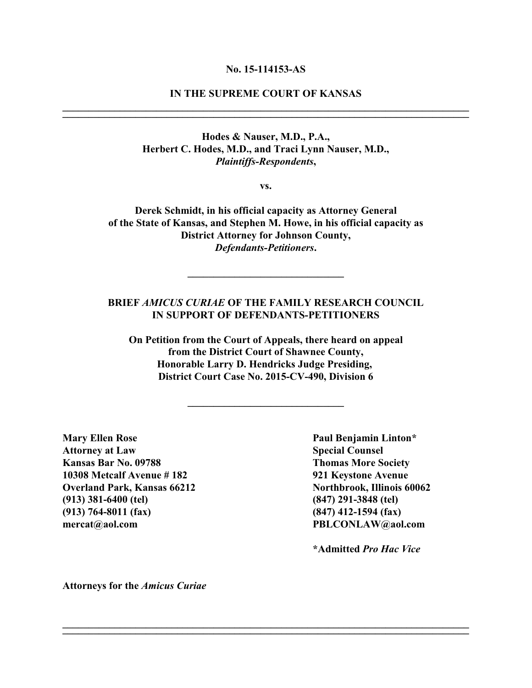#### **No. 15-114153-AS**

# **IN THE SUPREME COURT OF KANSAS \_\_\_\_\_\_\_\_\_\_\_\_\_\_\_\_\_\_\_\_\_\_\_\_\_\_\_\_\_\_\_\_\_\_\_\_\_\_\_\_\_\_\_\_\_\_\_\_\_\_\_\_\_\_\_\_\_\_\_\_\_\_\_\_\_\_\_\_\_\_\_\_\_\_\_\_\_\_**

**\_\_\_\_\_\_\_\_\_\_\_\_\_\_\_\_\_\_\_\_\_\_\_\_\_\_\_\_\_\_\_\_\_\_\_\_\_\_\_\_\_\_\_\_\_\_\_\_\_\_\_\_\_\_\_\_\_\_\_\_\_\_\_\_\_\_\_\_\_\_\_\_\_\_\_\_\_\_**

**Hodes & Nauser, M.D., P.A., Herbert C. Hodes, M.D., and Traci Lynn Nauser, M.D.,** *Plaintiffs-Respondents***,**

**vs.**

**Derek Schmidt, in his official capacity as Attorney General of the State of Kansas, and Stephen M. Howe, in his official capacity as District Attorney for Johnson County,** *Defendants-Petitioners***.**

# **BRIEF** *AMICUS CURIAE* **OF THE FAMILY RESEARCH COUNCIL IN SUPPORT OF DEFENDANTS-PETITIONERS**

**\_\_\_\_\_\_\_\_\_\_\_\_\_\_\_\_\_\_\_\_\_\_\_\_\_\_\_\_\_\_**

**On Petition from the Court of Appeals, there heard on appeal from the District Court of Shawnee County, Honorable Larry D. Hendricks Judge Presiding, District Court Case No. 2015-CV-490, Division 6**

**\_\_\_\_\_\_\_\_\_\_\_\_\_\_\_\_\_\_\_\_\_\_\_\_\_\_\_\_\_\_**

**\_\_\_\_\_\_\_\_\_\_\_\_\_\_\_\_\_\_\_\_\_\_\_\_\_\_\_\_\_\_\_\_\_\_\_\_\_\_\_\_\_\_\_\_\_\_\_\_\_\_\_\_\_\_\_\_\_\_\_\_\_\_\_\_\_\_\_\_\_\_\_\_\_\_\_\_\_\_ \_\_\_\_\_\_\_\_\_\_\_\_\_\_\_\_\_\_\_\_\_\_\_\_\_\_\_\_\_\_\_\_\_\_\_\_\_\_\_\_\_\_\_\_\_\_\_\_\_\_\_\_\_\_\_\_\_\_\_\_\_\_\_\_\_\_\_\_\_\_\_\_\_\_\_\_\_\_**

**Mary Ellen Rose Paul Benjamin Linton\* Attorney at Law Special Counsel Kansas Bar No. 09788 Thomas More Society 10308 Metcalf Avenue # 182 921 Keystone Avenue Overland Park, Kansas 66212 Northbrook, Illinois 60062 (913) 381-6400 (tel) (847) 291-3848 (tel) (913) 764-8011 (fax) (847) 412-1594 (fax) mercat@aol.com PBLCONLAW@aol.com**

**\*Admitted** *Pro Hac Vice*

**Attorneys for the** *Amicus Curiae*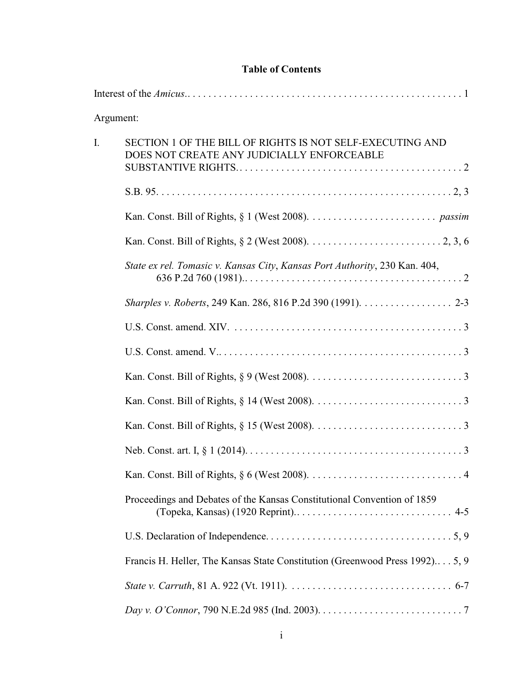# **Table of Contents**

|    | Argument:                                                                                               |
|----|---------------------------------------------------------------------------------------------------------|
| I. | SECTION 1 OF THE BILL OF RIGHTS IS NOT SELF-EXECUTING AND<br>DOES NOT CREATE ANY JUDICIALLY ENFORCEABLE |
|    |                                                                                                         |
|    |                                                                                                         |
|    |                                                                                                         |
|    | State ex rel. Tomasic v. Kansas City, Kansas Port Authority, 230 Kan. 404,                              |
|    | <i>Sharples v. Roberts</i> , 249 Kan. 286, 816 P.2d 390 (1991). 2-3                                     |
|    |                                                                                                         |
|    |                                                                                                         |
|    |                                                                                                         |
|    |                                                                                                         |
|    |                                                                                                         |
|    |                                                                                                         |
|    |                                                                                                         |
|    | Proceedings and Debates of the Kansas Constitutional Convention of 1859                                 |
|    |                                                                                                         |
|    | Francis H. Heller, The Kansas State Constitution (Greenwood Press 1992) 5, 9                            |
|    |                                                                                                         |
|    |                                                                                                         |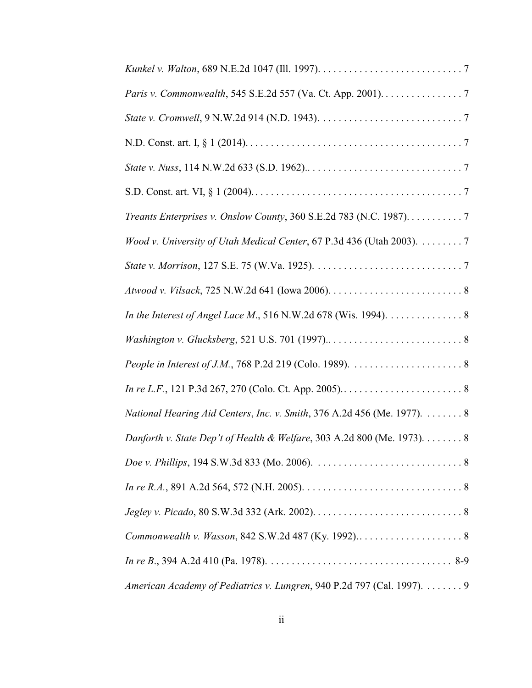| Paris v. Commonwealth, 545 S.E.2d 557 (Va. Ct. App. 2001). 7             |
|--------------------------------------------------------------------------|
|                                                                          |
|                                                                          |
|                                                                          |
|                                                                          |
| Treants Enterprises v. Onslow County, 360 S.E.2d 783 (N.C. 1987). 7      |
| Wood v. University of Utah Medical Center, 67 P.3d 436 (Utah 2003). 7    |
|                                                                          |
|                                                                          |
| In the Interest of Angel Lace M., 516 N.W.2d 678 (Wis. 1994). 8          |
|                                                                          |
|                                                                          |
|                                                                          |
| National Hearing Aid Centers, Inc. v. Smith, 376 A.2d 456 (Me. 1977).  8 |
| Danforth v. State Dep't of Health & Welfare, 303 A.2d 800 (Me. 1973). 8  |
|                                                                          |
|                                                                          |
|                                                                          |
|                                                                          |
|                                                                          |
| American Academy of Pediatrics v. Lungren, 940 P.2d 797 (Cal. 1997). 9   |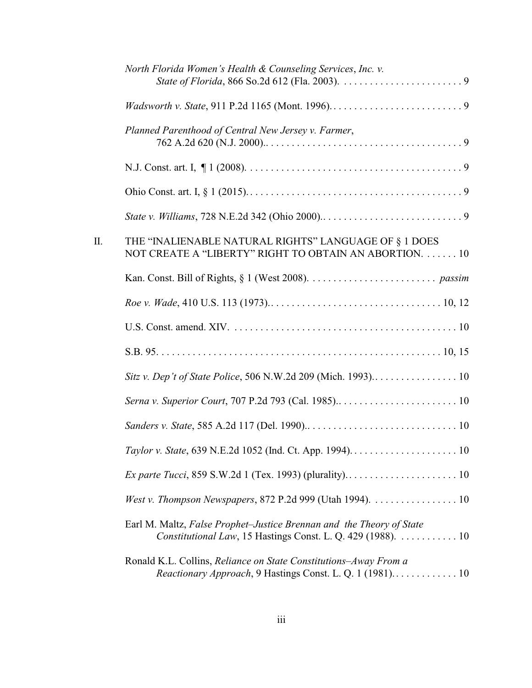|    | North Florida Women's Health & Counseling Services, Inc. v.                                                                         |
|----|-------------------------------------------------------------------------------------------------------------------------------------|
|    |                                                                                                                                     |
|    | Planned Parenthood of Central New Jersey v. Farmer,                                                                                 |
|    |                                                                                                                                     |
|    |                                                                                                                                     |
|    |                                                                                                                                     |
| Π. | THE "INALIENABLE NATURAL RIGHTS" LANGUAGE OF § 1 DOES<br>NOT CREATE A "LIBERTY" RIGHT TO OBTAIN AN ABORTION.  10                    |
|    |                                                                                                                                     |
|    |                                                                                                                                     |
|    |                                                                                                                                     |
|    |                                                                                                                                     |
|    |                                                                                                                                     |
|    | Serna v. Superior Court, 707 P.2d 793 (Cal. 1985) 10                                                                                |
|    |                                                                                                                                     |
|    |                                                                                                                                     |
|    |                                                                                                                                     |
|    | West v. Thompson Newspapers, 872 P.2d 999 (Utah 1994).  10                                                                          |
|    | Earl M. Maltz, False Prophet-Justice Brennan and the Theory of State<br>Constitutional Law, 15 Hastings Const. L. Q. 429 (1988). 10 |
|    | Ronald K.L. Collins, Reliance on State Constitutions-Away From a<br>Reactionary Approach, 9 Hastings Const. L. Q. 1 (1981) 10       |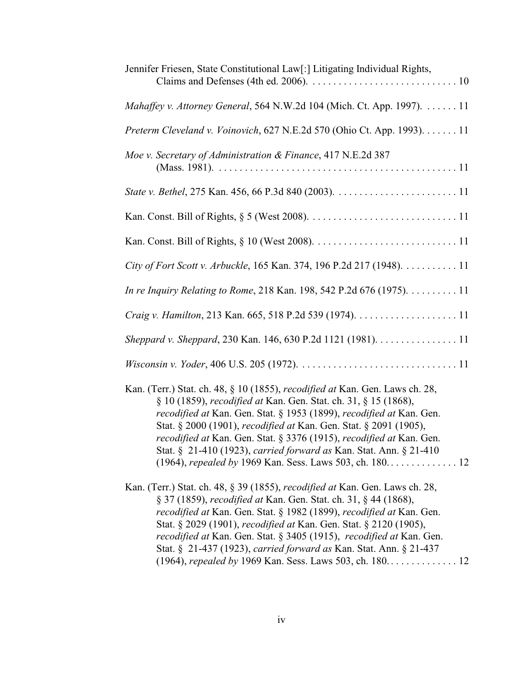| Jennifer Friesen, State Constitutional Law[:] Litigating Individual Rights,                                                                                                                                                                                                                                                                                                                                                                                                          |  |  |
|--------------------------------------------------------------------------------------------------------------------------------------------------------------------------------------------------------------------------------------------------------------------------------------------------------------------------------------------------------------------------------------------------------------------------------------------------------------------------------------|--|--|
| Mahaffey v. Attorney General, 564 N.W.2d 104 (Mich. Ct. App. 1997). 11                                                                                                                                                                                                                                                                                                                                                                                                               |  |  |
| Preterm Cleveland v. Voinovich, 627 N.E.2d 570 (Ohio Ct. App. 1993). 11                                                                                                                                                                                                                                                                                                                                                                                                              |  |  |
| Moe v. Secretary of Administration & Finance, 417 N.E.2d 387                                                                                                                                                                                                                                                                                                                                                                                                                         |  |  |
|                                                                                                                                                                                                                                                                                                                                                                                                                                                                                      |  |  |
|                                                                                                                                                                                                                                                                                                                                                                                                                                                                                      |  |  |
|                                                                                                                                                                                                                                                                                                                                                                                                                                                                                      |  |  |
| City of Fort Scott v. Arbuckle, 165 Kan. 374, 196 P.2d 217 (1948). 11                                                                                                                                                                                                                                                                                                                                                                                                                |  |  |
| In re Inquiry Relating to Rome, 218 Kan. 198, 542 P.2d 676 (1975). 11                                                                                                                                                                                                                                                                                                                                                                                                                |  |  |
|                                                                                                                                                                                                                                                                                                                                                                                                                                                                                      |  |  |
| Sheppard v. Sheppard, 230 Kan. 146, 630 P.2d 1121 (1981). 11                                                                                                                                                                                                                                                                                                                                                                                                                         |  |  |
|                                                                                                                                                                                                                                                                                                                                                                                                                                                                                      |  |  |
| Kan. (Terr.) Stat. ch. 48, § 10 (1855), <i>recodified at</i> Kan. Gen. Laws ch. 28,<br>§ 10 (1859), recodified at Kan. Gen. Stat. ch. 31, § 15 (1868),<br>recodified at Kan. Gen. Stat. § 1953 (1899), recodified at Kan. Gen.<br>Stat. § 2000 (1901), recodified at Kan. Gen. Stat. § 2091 (1905),<br>recodified at Kan. Gen. Stat. § 3376 (1915), recodified at Kan. Gen.<br>Stat. § 21-410 (1923), carried forward as Kan. Stat. Ann. § 21-410                                    |  |  |
| Kan. (Terr.) Stat. ch. 48, § 39 (1855), <i>recodified at</i> Kan. Gen. Laws ch. 28,<br>§ 37 (1859), recodified at Kan. Gen. Stat. ch. 31, § 44 (1868),<br><i>recodified at</i> Kan. Gen. Stat. § 1982 (1899), <i>recodified at</i> Kan. Gen.<br>Stat. § 2029 (1901), <i>recodified at</i> Kan. Gen. Stat. § 2120 (1905),<br><i>recodified at</i> Kan. Gen. Stat. § 3405 (1915), <i>recodified at</i> Kan. Gen.<br>Stat. § 21-437 (1923), carried forward as Kan. Stat. Ann. § 21-437 |  |  |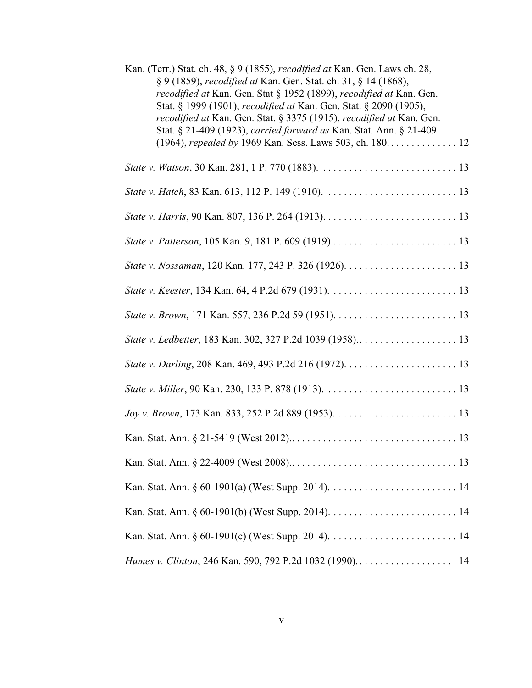| Kan. (Terr.) Stat. ch. 48, § 9 (1855), <i>recodified at</i> Kan. Gen. Laws ch. 28,<br>§ 9 (1859), recodified at Kan. Gen. Stat. ch. 31, § 14 (1868),<br>recodified at Kan. Gen. Stat § 1952 (1899), recodified at Kan. Gen.<br>Stat. § 1999 (1901), recodified at Kan. Gen. Stat. § 2090 (1905),<br>recodified at Kan. Gen. Stat. § 3375 (1915), recodified at Kan. Gen.<br>Stat. § 21-409 (1923), carried forward as Kan. Stat. Ann. § 21-409 |
|------------------------------------------------------------------------------------------------------------------------------------------------------------------------------------------------------------------------------------------------------------------------------------------------------------------------------------------------------------------------------------------------------------------------------------------------|
| (1964), repealed by 1969 Kan. Sess. Laws 503, ch. 180. 12                                                                                                                                                                                                                                                                                                                                                                                      |
|                                                                                                                                                                                                                                                                                                                                                                                                                                                |
|                                                                                                                                                                                                                                                                                                                                                                                                                                                |
|                                                                                                                                                                                                                                                                                                                                                                                                                                                |
|                                                                                                                                                                                                                                                                                                                                                                                                                                                |
|                                                                                                                                                                                                                                                                                                                                                                                                                                                |
|                                                                                                                                                                                                                                                                                                                                                                                                                                                |
|                                                                                                                                                                                                                                                                                                                                                                                                                                                |
|                                                                                                                                                                                                                                                                                                                                                                                                                                                |
|                                                                                                                                                                                                                                                                                                                                                                                                                                                |
|                                                                                                                                                                                                                                                                                                                                                                                                                                                |
|                                                                                                                                                                                                                                                                                                                                                                                                                                                |
|                                                                                                                                                                                                                                                                                                                                                                                                                                                |
|                                                                                                                                                                                                                                                                                                                                                                                                                                                |
|                                                                                                                                                                                                                                                                                                                                                                                                                                                |
|                                                                                                                                                                                                                                                                                                                                                                                                                                                |
|                                                                                                                                                                                                                                                                                                                                                                                                                                                |
|                                                                                                                                                                                                                                                                                                                                                                                                                                                |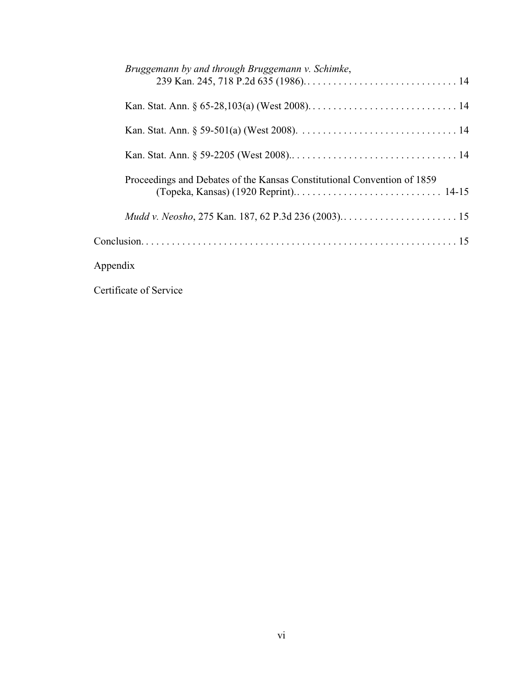| Bruggemann by and through Bruggemann v. Schimke,                        |
|-------------------------------------------------------------------------|
|                                                                         |
|                                                                         |
|                                                                         |
| Proceedings and Debates of the Kansas Constitutional Convention of 1859 |
|                                                                         |
|                                                                         |
| Appendix                                                                |

Certificate of Service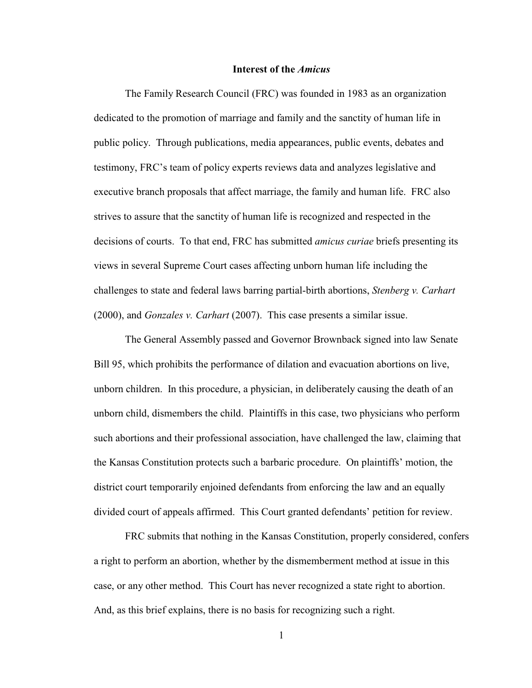#### **Interest of the** *Amicus*

The Family Research Council (FRC) was founded in 1983 as an organization dedicated to the promotion of marriage and family and the sanctity of human life in public policy. Through publications, media appearances, public events, debates and testimony, FRC's team of policy experts reviews data and analyzes legislative and executive branch proposals that affect marriage, the family and human life. FRC also strives to assure that the sanctity of human life is recognized and respected in the decisions of courts. To that end, FRC has submitted *amicus curiae* briefs presenting its views in several Supreme Court cases affecting unborn human life including the challenges to state and federal laws barring partial-birth abortions, *Stenberg v. Carhart* (2000), and *Gonzales v. Carhart* (2007). This case presents a similar issue.

The General Assembly passed and Governor Brownback signed into law Senate Bill 95, which prohibits the performance of dilation and evacuation abortions on live, unborn children. In this procedure, a physician, in deliberately causing the death of an unborn child, dismembers the child. Plaintiffs in this case, two physicians who perform such abortions and their professional association, have challenged the law, claiming that the Kansas Constitution protects such a barbaric procedure. On plaintiffs' motion, the district court temporarily enjoined defendants from enforcing the law and an equally divided court of appeals affirmed. This Court granted defendants' petition for review.

FRC submits that nothing in the Kansas Constitution, properly considered, confers a right to perform an abortion, whether by the dismemberment method at issue in this case, or any other method. This Court has never recognized a state right to abortion. And, as this brief explains, there is no basis for recognizing such a right.

1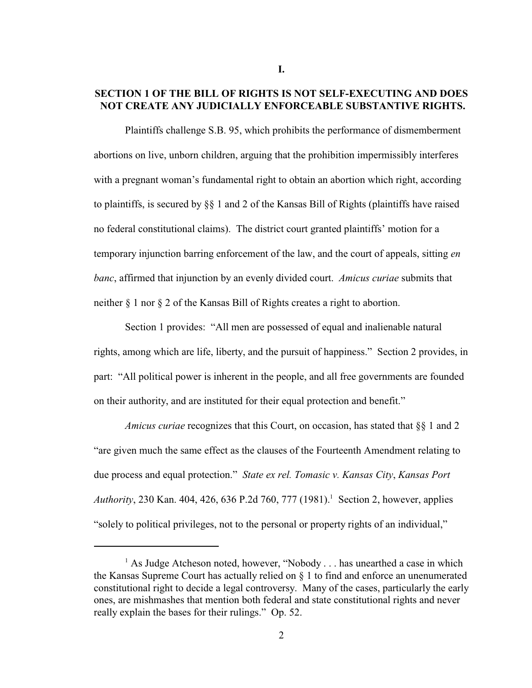# **SECTION 1 OF THE BILL OF RIGHTS IS NOT SELF-EXECUTING AND DOES NOT CREATE ANY JUDICIALLY ENFORCEABLE SUBSTANTIVE RIGHTS.**

Plaintiffs challenge S.B. 95, which prohibits the performance of dismemberment abortions on live, unborn children, arguing that the prohibition impermissibly interferes with a pregnant woman's fundamental right to obtain an abortion which right, according to plaintiffs, is secured by  $\S$  1 and 2 of the Kansas Bill of Rights (plaintiffs have raised no federal constitutional claims). The district court granted plaintiffs' motion for a temporary injunction barring enforcement of the law, and the court of appeals, sitting *en banc*, affirmed that injunction by an evenly divided court. *Amicus curiae* submits that neither § 1 nor § 2 of the Kansas Bill of Rights creates a right to abortion.

Section 1 provides: "All men are possessed of equal and inalienable natural rights, among which are life, liberty, and the pursuit of happiness." Section 2 provides, in part: "All political power is inherent in the people, and all free governments are founded on their authority, and are instituted for their equal protection and benefit."

*Amicus curiae* recognizes that this Court, on occasion, has stated that §§ 1 and 2 "are given much the same effect as the clauses of the Fourteenth Amendment relating to due process and equal protection." *State ex rel. Tomasic v. Kansas City*, *Kansas Port Authority*, 230 Kan. 404, 426, 636 P.2d 760, 777 (1981). Section 2, however, applies "solely to political privileges, not to the personal or property rights of an individual,"

 $<sup>1</sup>$  As Judge Atcheson noted, however, "Nobody . . . has unearthed a case in which</sup> the Kansas Supreme Court has actually relied on § 1 to find and enforce an unenumerated constitutional right to decide a legal controversy. Many of the cases, particularly the early ones, are mishmashes that mention both federal and state constitutional rights and never really explain the bases for their rulings." Op. 52.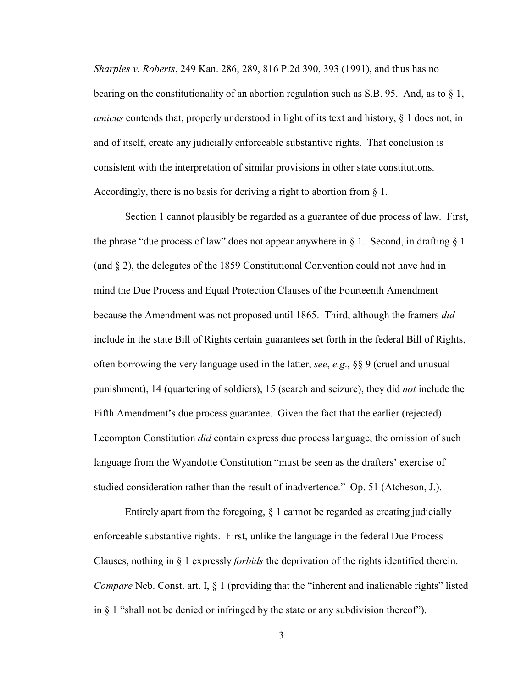*Sharples v. Roberts*, 249 Kan. 286, 289, 816 P.2d 390, 393 (1991), and thus has no bearing on the constitutionality of an abortion regulation such as S.B. 95. And, as to  $\S$  1, *amicus* contends that, properly understood in light of its text and history, § 1 does not, in and of itself, create any judicially enforceable substantive rights. That conclusion is consistent with the interpretation of similar provisions in other state constitutions. Accordingly, there is no basis for deriving a right to abortion from § 1.

Section 1 cannot plausibly be regarded as a guarantee of due process of law. First, the phrase "due process of law" does not appear anywhere in  $\S$  1. Second, in drafting  $\S$  1 (and § 2), the delegates of the 1859 Constitutional Convention could not have had in mind the Due Process and Equal Protection Clauses of the Fourteenth Amendment because the Amendment was not proposed until 1865. Third, although the framers *did* include in the state Bill of Rights certain guarantees set forth in the federal Bill of Rights, often borrowing the very language used in the latter, *see*, *e.g*., §§ 9 (cruel and unusual punishment), 14 (quartering of soldiers), 15 (search and seizure), they did *not* include the Fifth Amendment's due process guarantee. Given the fact that the earlier (rejected) Lecompton Constitution *did* contain express due process language, the omission of such language from the Wyandotte Constitution "must be seen as the drafters' exercise of studied consideration rather than the result of inadvertence." Op. 51 (Atcheson, J.).

Entirely apart from the foregoing, § 1 cannot be regarded as creating judicially enforceable substantive rights. First, unlike the language in the federal Due Process Clauses, nothing in § 1 expressly *forbids* the deprivation of the rights identified therein. *Compare* Neb. Const. art. I, § 1 (providing that the "inherent and inalienable rights" listed in § 1 "shall not be denied or infringed by the state or any subdivision thereof").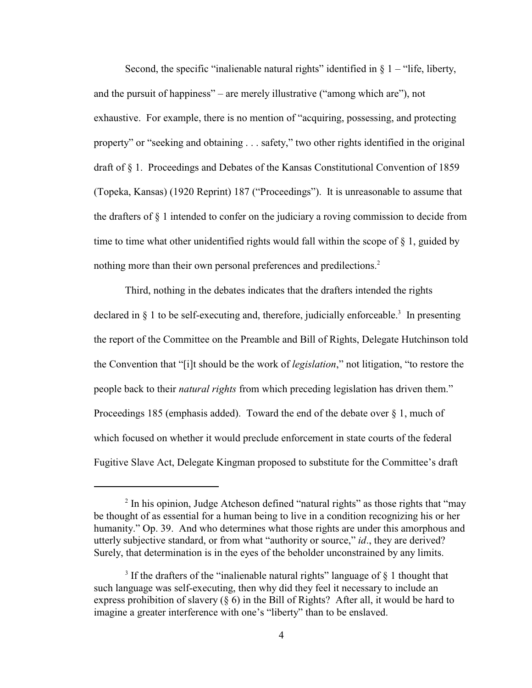Second, the specific "inalienable natural rights" identified in  $\S$  1 – "life, liberty, and the pursuit of happiness" – are merely illustrative ("among which are"), not exhaustive. For example, there is no mention of "acquiring, possessing, and protecting property" or "seeking and obtaining . . . safety," two other rights identified in the original draft of § 1. Proceedings and Debates of the Kansas Constitutional Convention of 1859 (Topeka, Kansas) (1920 Reprint) 187 ("Proceedings"). It is unreasonable to assume that the drafters of  $\S$  1 intended to confer on the judiciary a roving commission to decide from time to time what other unidentified rights would fall within the scope of § 1, guided by nothing more than their own personal preferences and predilections.<sup>2</sup>

Third, nothing in the debates indicates that the drafters intended the rights declared in  $\S$  1 to be self-executing and, therefore, judicially enforceable.<sup>3</sup> In presenting the report of the Committee on the Preamble and Bill of Rights, Delegate Hutchinson told the Convention that "[i]t should be the work of *legislation*," not litigation, "to restore the people back to their *natural rights* from which preceding legislation has driven them." Proceedings 185 (emphasis added). Toward the end of the debate over  $\S 1$ , much of which focused on whether it would preclude enforcement in state courts of the federal Fugitive Slave Act, Delegate Kingman proposed to substitute for the Committee's draft

 $\frac{1}{2}$  In his opinion, Judge Atcheson defined "natural rights" as those rights that "may" be thought of as essential for a human being to live in a condition recognizing his or her humanity." Op. 39. And who determines what those rights are under this amorphous and utterly subjective standard, or from what "authority or source," *id*., they are derived? Surely, that determination is in the eyes of the beholder unconstrained by any limits.

<sup>&</sup>lt;sup>3</sup> If the drafters of the "inalienable natural rights" language of  $\S$  1 thought that such language was self-executing, then why did they feel it necessary to include an express prohibition of slavery  $(\S 6)$  in the Bill of Rights? After all, it would be hard to imagine a greater interference with one's "liberty" than to be enslaved.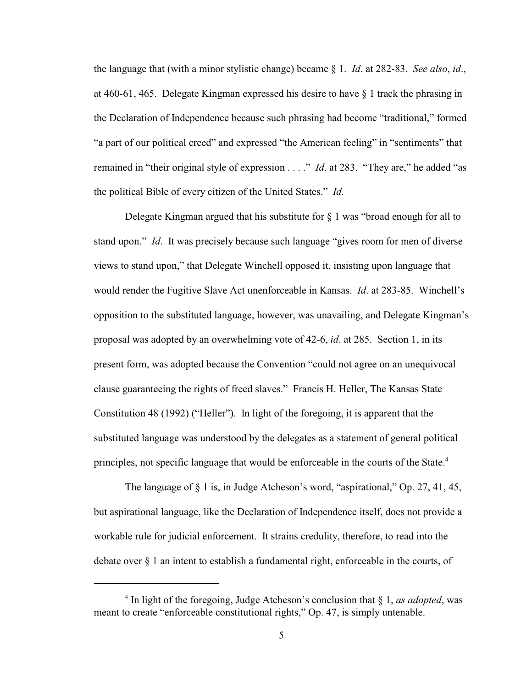the language that (with a minor stylistic change) became § 1. *Id*. at 282-83. *See also*, *id*., at 460-61, 465. Delegate Kingman expressed his desire to have § 1 track the phrasing in the Declaration of Independence because such phrasing had become "traditional," formed "a part of our political creed" and expressed "the American feeling" in "sentiments" that remained in "their original style of expression . . . ." *Id*. at 283. "They are," he added "as the political Bible of every citizen of the United States." *Id.*

Delegate Kingman argued that his substitute for  $\S$  1 was "broad enough for all to stand upon." *Id*. It was precisely because such language "gives room for men of diverse views to stand upon," that Delegate Winchell opposed it, insisting upon language that would render the Fugitive Slave Act unenforceable in Kansas. *Id*. at 283-85. Winchell's opposition to the substituted language, however, was unavailing, and Delegate Kingman's proposal was adopted by an overwhelming vote of 42-6, *id*. at 285. Section 1, in its present form, was adopted because the Convention "could not agree on an unequivocal clause guaranteeing the rights of freed slaves." Francis H. Heller, The Kansas State Constitution 48 (1992) ("Heller"). In light of the foregoing, it is apparent that the substituted language was understood by the delegates as a statement of general political principles, not specific language that would be enforceable in the courts of the State.<sup>4</sup>

The language of § 1 is, in Judge Atcheson's word, "aspirational," Op. 27, 41, 45, but aspirational language, like the Declaration of Independence itself, does not provide a workable rule for judicial enforcement. It strains credulity, therefore, to read into the debate over § 1 an intent to establish a fundamental right, enforceable in the courts, of

<sup>&</sup>lt;sup>4</sup> In light of the foregoing, Judge Atcheson's conclusion that  $\S$  1, *as adopted*, was meant to create "enforceable constitutional rights," Op. 47, is simply untenable.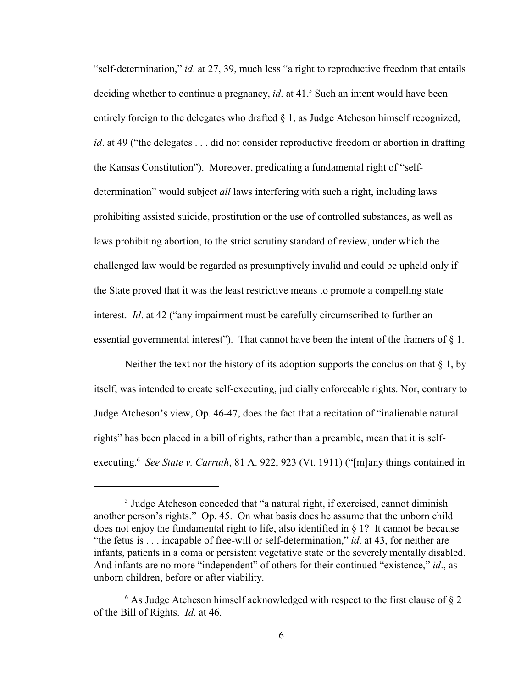"self-determination," *id*. at 27, 39, much less "a right to reproductive freedom that entails deciding whether to continue a pregnancy, *id.* at 41.<sup>5</sup> Such an intent would have been entirely foreign to the delegates who drafted  $\S$  1, as Judge Atcheson himself recognized, *id*. at 49 ("the delegates . . . did not consider reproductive freedom or abortion in drafting the Kansas Constitution"). Moreover, predicating a fundamental right of "selfdetermination" would subject *all* laws interfering with such a right, including laws prohibiting assisted suicide, prostitution or the use of controlled substances, as well as laws prohibiting abortion, to the strict scrutiny standard of review, under which the challenged law would be regarded as presumptively invalid and could be upheld only if the State proved that it was the least restrictive means to promote a compelling state interest. *Id*. at 42 ("any impairment must be carefully circumscribed to further an essential governmental interest"). That cannot have been the intent of the framers of § 1.

Neither the text nor the history of its adoption supports the conclusion that  $\S$  1, by itself, was intended to create self-executing, judicially enforceable rights. Nor, contrary to Judge Atcheson's view, Op. 46-47, does the fact that a recitation of "inalienable natural rights" has been placed in a bill of rights, rather than a preamble, mean that it is selfexecuting.<sup>6</sup> See State v. Carruth, 81 A. 922, 923 (Vt. 1911) ("[m]any things contained in

 $<sup>5</sup>$  Judge Atcheson conceded that "a natural right, if exercised, cannot diminish</sup> another person's rights." Op. 45. On what basis does he assume that the unborn child does not enjoy the fundamental right to life, also identified in § 1? It cannot be because "the fetus is . . . incapable of free-will or self-determination," *id*. at 43, for neither are infants, patients in a coma or persistent vegetative state or the severely mentally disabled. And infants are no more "independent" of others for their continued "existence," *id*., as unborn children, before or after viability.

 $6$  As Judge Atcheson himself acknowledged with respect to the first clause of  $82$ of the Bill of Rights. *Id*. at 46.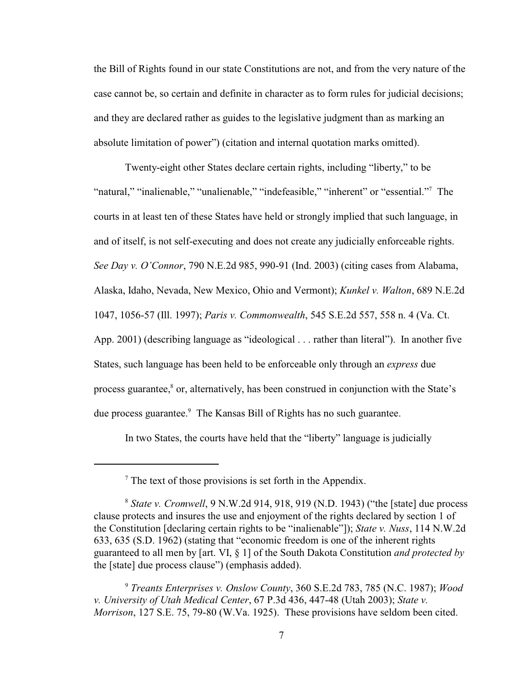the Bill of Rights found in our state Constitutions are not, and from the very nature of the case cannot be, so certain and definite in character as to form rules for judicial decisions; and they are declared rather as guides to the legislative judgment than as marking an absolute limitation of power") (citation and internal quotation marks omitted).

Twenty-eight other States declare certain rights, including "liberty," to be "natural," "inalienable," "unalienable," "indefeasible," "inherent" or "essential."<sup>7</sup> The courts in at least ten of these States have held or strongly implied that such language, in and of itself, is not self-executing and does not create any judicially enforceable rights. *See Day v. O'Connor*, 790 N.E.2d 985, 990-91 (Ind. 2003) (citing cases from Alabama, Alaska, Idaho, Nevada, New Mexico, Ohio and Vermont); *Kunkel v. Walton*, 689 N.E.2d 1047, 1056-57 (Ill. 1997); *Paris v. Commonwealth*, 545 S.E.2d 557, 558 n. 4 (Va. Ct. App. 2001) (describing language as "ideological . . . rather than literal"). In another five States, such language has been held to be enforceable only through an *express* due process guarantee, $\delta$  or, alternatively, has been construed in conjunction with the State's due process guarantee.<sup>9</sup> The Kansas Bill of Rights has no such guarantee.

In two States, the courts have held that the "liberty" language is judicially

 $\frac{7}{7}$  The text of those provisions is set forth in the Appendix.

*State v. Cromwell*, 9 N.W.2d 914, 918, 919 (N.D. 1943) ("the [state] due process <sup>8</sup> clause protects and insures the use and enjoyment of the rights declared by section 1 of the Constitution [declaring certain rights to be "inalienable"]); *State v. Nuss*, 114 N.W.2d 633, 635 (S.D. 1962) (stating that "economic freedom is one of the inherent rights guaranteed to all men by [art. VI, § 1] of the South Dakota Constitution *and protected by* the [state] due process clause") (emphasis added).

*Treants Enterprises v. Onslow County*, 360 S.E.2d 783, 785 (N.C. 1987); *Wood* <sup>9</sup> *v. University of Utah Medical Center*, 67 P.3d 436, 447-48 (Utah 2003); *State v. Morrison*, 127 S.E. 75, 79-80 (W.Va. 1925). These provisions have seldom been cited.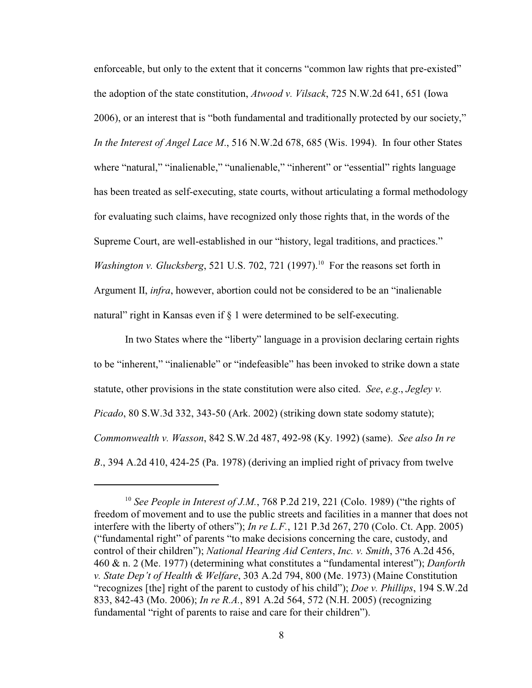enforceable, but only to the extent that it concerns "common law rights that pre-existed" the adoption of the state constitution, *Atwood v. Vilsack*, 725 N.W.2d 641, 651 (Iowa 2006), or an interest that is "both fundamental and traditionally protected by our society," *In the Interest of Angel Lace M*., 516 N.W.2d 678, 685 (Wis. 1994). In four other States where "natural," "inalienable," "unalienable," "inherent" or "essential" rights language has been treated as self-executing, state courts, without articulating a formal methodology for evaluating such claims, have recognized only those rights that, in the words of the Supreme Court, are well-established in our "history, legal traditions, and practices." *Washington v. Glucksberg*, 521 U.S. 702, 721 (1997).<sup>10</sup> For the reasons set forth in Argument II, *infra*, however, abortion could not be considered to be an "inalienable natural" right in Kansas even if  $\S$  1 were determined to be self-executing.

In two States where the "liberty" language in a provision declaring certain rights to be "inherent," "inalienable" or "indefeasible" has been invoked to strike down a state statute, other provisions in the state constitution were also cited. *See*, *e.g*., *Jegley v. Picado*, 80 S.W.3d 332, 343-50 (Ark. 2002) (striking down state sodomy statute); *Commonwealth v. Wasson*, 842 S.W.2d 487, 492-98 (Ky. 1992) (same). *See also In re B*., 394 A.2d 410, 424-25 (Pa. 1978) (deriving an implied right of privacy from twelve

<sup>&</sup>lt;sup>10</sup> See People in Interest of J.M., 768 P.2d 219, 221 (Colo. 1989) ("the rights of freedom of movement and to use the public streets and facilities in a manner that does not interfere with the liberty of others"); *In re L.F.*, 121 P.3d 267, 270 (Colo. Ct. App. 2005) ("fundamental right" of parents "to make decisions concerning the care, custody, and control of their children"); *National Hearing Aid Centers*, *Inc. v. Smith*, 376 A.2d 456, 460 & n. 2 (Me. 1977) (determining what constitutes a "fundamental interest"); *Danforth v. State Dep't of Health & Welfare*, 303 A.2d 794, 800 (Me. 1973) (Maine Constitution "recognizes [the] right of the parent to custody of his child"); *Doe v. Phillips*, 194 S.W.2d 833, 842-43 (Mo. 2006); *In re R.A.*, 891 A.2d 564, 572 (N.H. 2005) (recognizing fundamental "right of parents to raise and care for their children").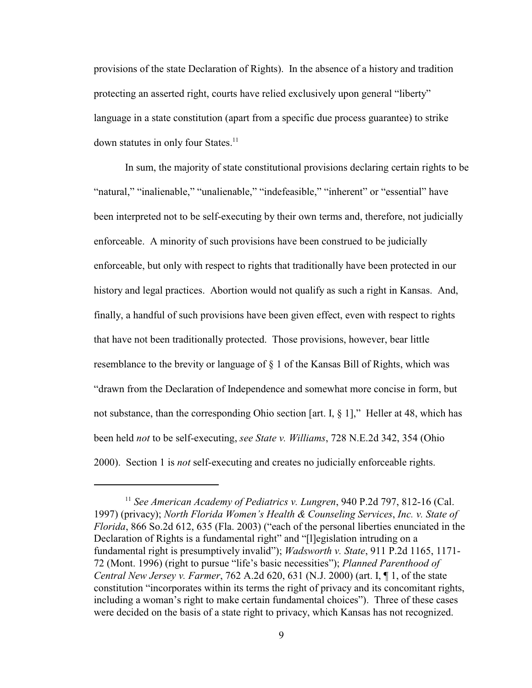provisions of the state Declaration of Rights). In the absence of a history and tradition protecting an asserted right, courts have relied exclusively upon general "liberty" language in a state constitution (apart from a specific due process guarantee) to strike down statutes in only four States.<sup>11</sup>

In sum, the majority of state constitutional provisions declaring certain rights to be "natural," "inalienable," "unalienable," "indefeasible," "inherent" or "essential" have been interpreted not to be self-executing by their own terms and, therefore, not judicially enforceable. A minority of such provisions have been construed to be judicially enforceable, but only with respect to rights that traditionally have been protected in our history and legal practices. Abortion would not qualify as such a right in Kansas. And, finally, a handful of such provisions have been given effect, even with respect to rights that have not been traditionally protected. Those provisions, however, bear little resemblance to the brevity or language of  $\S$  1 of the Kansas Bill of Rights, which was "drawn from the Declaration of Independence and somewhat more concise in form, but not substance, than the corresponding Ohio section [art. I, § 1]," Heller at 48, which has been held *not* to be self-executing, *see State v. Williams*, 728 N.E.2d 342, 354 (Ohio 2000). Section 1 is *not* self-executing and creates no judicially enforceable rights.

<sup>&</sup>lt;sup>11</sup> See American Academy of Pediatrics v. Lungren, 940 P.2d 797, 812-16 (Cal. 1997) (privacy); *North Florida Women's Health & Counseling Services*, *Inc. v. State of Florida*, 866 So.2d 612, 635 (Fla. 2003) ("each of the personal liberties enunciated in the Declaration of Rights is a fundamental right" and "[l]egislation intruding on a fundamental right is presumptively invalid"); *Wadsworth v. State*, 911 P.2d 1165, 1171- 72 (Mont. 1996) (right to pursue "life's basic necessities"); *Planned Parenthood of Central New Jersey v. Farmer*, 762 A.2d 620, 631 (N.J. 2000) (art. I, ¶ 1, of the state constitution "incorporates within its terms the right of privacy and its concomitant rights, including a woman's right to make certain fundamental choices"). Three of these cases were decided on the basis of a state right to privacy, which Kansas has not recognized.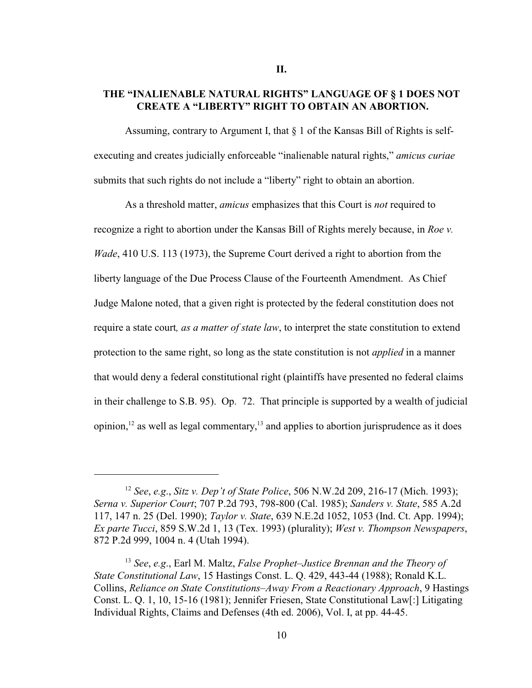## **THE "INALIENABLE NATURAL RIGHTS" LANGUAGE OF § 1 DOES NOT CREATE A "LIBERTY" RIGHT TO OBTAIN AN ABORTION.**

Assuming, contrary to Argument I, that § 1 of the Kansas Bill of Rights is selfexecuting and creates judicially enforceable "inalienable natural rights," *amicus curiae* submits that such rights do not include a "liberty" right to obtain an abortion.

As a threshold matter, *amicus* emphasizes that this Court is *not* required to recognize a right to abortion under the Kansas Bill of Rights merely because, in *Roe v. Wade*, 410 U.S. 113 (1973), the Supreme Court derived a right to abortion from the liberty language of the Due Process Clause of the Fourteenth Amendment. As Chief Judge Malone noted, that a given right is protected by the federal constitution does not require a state court*, as a matter of state law*, to interpret the state constitution to extend protection to the same right, so long as the state constitution is not *applied* in a manner that would deny a federal constitutional right (plaintiffs have presented no federal claims in their challenge to S.B. 95). Op. 72. That principle is supported by a wealth of judicial opinion,  $12$  as well as legal commentary,  $13$  and applies to abortion jurisprudence as it does

*See*, *e.g*., *Sitz v. Dep't of State Police*, 506 N.W.2d 209, 216-17 (Mich. 1993); <sup>12</sup> *Serna v. Superior Court*; 707 P.2d 793, 798-800 (Cal. 1985); *Sanders v. State*, 585 A.2d 117, 147 n. 25 (Del. 1990); *Taylor v. State*, 639 N.E.2d 1052, 1053 (Ind. Ct. App. 1994); *Ex parte Tucci*, 859 S.W.2d 1, 13 (Tex. 1993) (plurality); *West v. Thompson Newspapers*, 872 P.2d 999, 1004 n. 4 (Utah 1994).

<sup>&</sup>lt;sup>13</sup> See, e.g., Earl M. Maltz, *False Prophet–Justice Brennan and the Theory of State Constitutional Law*, 15 Hastings Const. L. Q. 429, 443-44 (1988); Ronald K.L. Collins, *Reliance on State Constitutions–Away From a Reactionary Approach*, 9 Hastings Const. L. Q. 1, 10, 15-16 (1981); Jennifer Friesen, State Constitutional Law[:] Litigating Individual Rights, Claims and Defenses (4th ed. 2006), Vol. I, at pp. 44-45.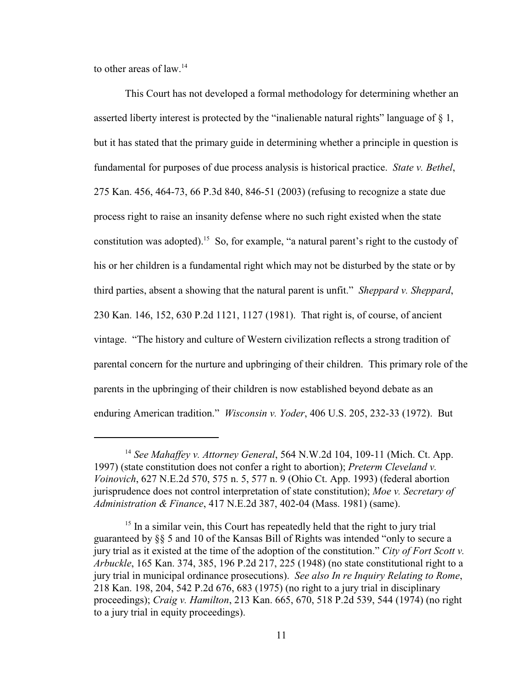to other areas of  $law<sup>14</sup>$ 

This Court has not developed a formal methodology for determining whether an asserted liberty interest is protected by the "inalienable natural rights" language of  $\S$  1, but it has stated that the primary guide in determining whether a principle in question is fundamental for purposes of due process analysis is historical practice. *State v. Bethel*, 275 Kan. 456, 464-73, 66 P.3d 840, 846-51 (2003) (refusing to recognize a state due process right to raise an insanity defense where no such right existed when the state constitution was adopted).<sup>15</sup> So, for example, "a natural parent's right to the custody of his or her children is a fundamental right which may not be disturbed by the state or by third parties, absent a showing that the natural parent is unfit." *Sheppard v. Sheppard*, 230 Kan. 146, 152, 630 P.2d 1121, 1127 (1981). That right is, of course, of ancient vintage. "The history and culture of Western civilization reflects a strong tradition of parental concern for the nurture and upbringing of their children. This primary role of the parents in the upbringing of their children is now established beyond debate as an enduring American tradition." *Wisconsin v. Yoder*, 406 U.S. 205, 232-33 (1972). But

<sup>&</sup>lt;sup>14</sup> See Mahaffey v. Attorney General, 564 N.W.2d 104, 109-11 (Mich. Ct. App. 1997) (state constitution does not confer a right to abortion); *Preterm Cleveland v. Voinovich*, 627 N.E.2d 570, 575 n. 5, 577 n. 9 (Ohio Ct. App. 1993) (federal abortion jurisprudence does not control interpretation of state constitution); *Moe v. Secretary of Administration & Finance*, 417 N.E.2d 387, 402-04 (Mass. 1981) (same).

 $<sup>15</sup>$  In a similar vein, this Court has repeatedly held that the right to jury trial</sup> guaranteed by §§ 5 and 10 of the Kansas Bill of Rights was intended "only to secure a jury trial as it existed at the time of the adoption of the constitution." *City of Fort Scott v. Arbuckle*, 165 Kan. 374, 385, 196 P.2d 217, 225 (1948) (no state constitutional right to a jury trial in municipal ordinance prosecutions). *See also In re Inquiry Relating to Rome*, 218 Kan. 198, 204, 542 P.2d 676, 683 (1975) (no right to a jury trial in disciplinary proceedings); *Craig v. Hamilton*, 213 Kan. 665, 670, 518 P.2d 539, 544 (1974) (no right to a jury trial in equity proceedings).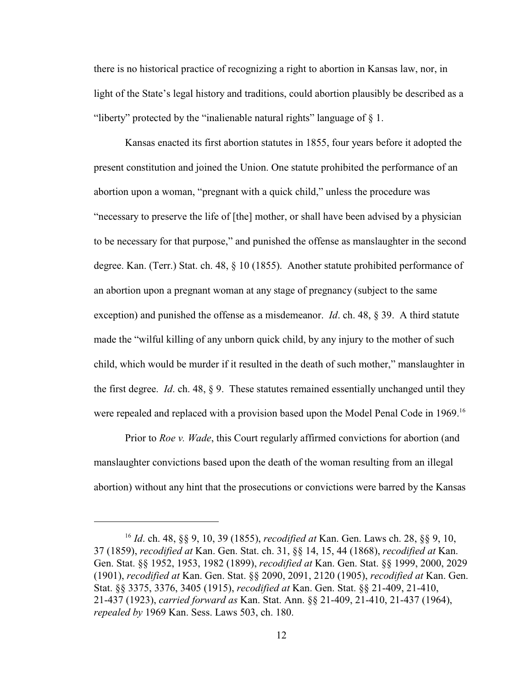there is no historical practice of recognizing a right to abortion in Kansas law, nor, in light of the State's legal history and traditions, could abortion plausibly be described as a "liberty" protected by the "inalienable natural rights" language of § 1.

Kansas enacted its first abortion statutes in 1855, four years before it adopted the present constitution and joined the Union. One statute prohibited the performance of an abortion upon a woman, "pregnant with a quick child," unless the procedure was "necessary to preserve the life of [the] mother, or shall have been advised by a physician to be necessary for that purpose," and punished the offense as manslaughter in the second degree. Kan. (Terr.) Stat. ch. 48, § 10 (1855). Another statute prohibited performance of an abortion upon a pregnant woman at any stage of pregnancy (subject to the same exception) and punished the offense as a misdemeanor. *Id*. ch. 48, § 39. A third statute made the "wilful killing of any unborn quick child, by any injury to the mother of such child, which would be murder if it resulted in the death of such mother," manslaughter in the first degree. *Id*. ch. 48, § 9. These statutes remained essentially unchanged until they were repealed and replaced with a provision based upon the Model Penal Code in 1969.<sup>16</sup>

Prior to *Roe v. Wade*, this Court regularly affirmed convictions for abortion (and manslaughter convictions based upon the death of the woman resulting from an illegal abortion) without any hint that the prosecutions or convictions were barred by the Kansas

*Id*. ch. 48, §§ 9, 10, 39 (1855), *recodified at* Kan. Gen. Laws ch. 28, §§ 9, 10, <sup>16</sup> 37 (1859), *recodified at* Kan. Gen. Stat. ch. 31, §§ 14, 15, 44 (1868), *recodified at* Kan. Gen. Stat. §§ 1952, 1953, 1982 (1899), *recodified at* Kan. Gen. Stat. §§ 1999, 2000, 2029 (1901), *recodified at* Kan. Gen. Stat. §§ 2090, 2091, 2120 (1905), *recodified at* Kan. Gen. Stat. §§ 3375, 3376, 3405 (1915), *recodified at* Kan. Gen. Stat. §§ 21-409, 21-410, 21-437 (1923), *carried forward as* Kan. Stat. Ann. §§ 21-409, 21-410, 21-437 (1964), *repealed by* 1969 Kan. Sess. Laws 503, ch. 180.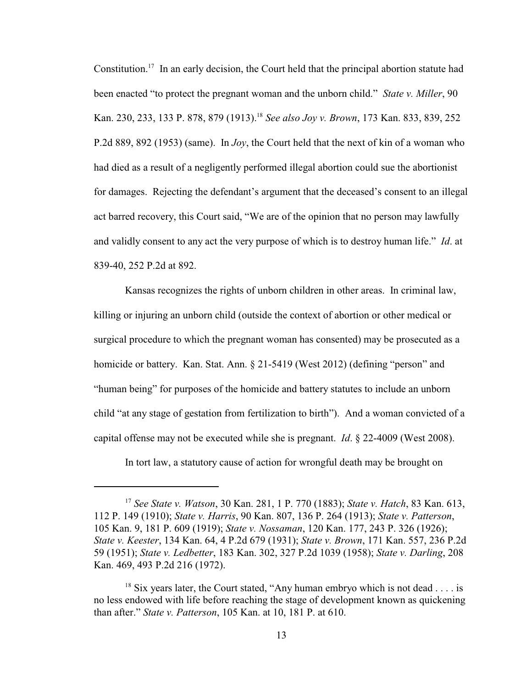Constitution.<sup>17</sup> In an early decision, the Court held that the principal abortion statute had been enacted "to protect the pregnant woman and the unborn child." *State v. Miller*, 90 Kan. 230, 233, 133 P. 878, 879 (1913).<sup>18</sup> See also Joy v. Brown, 173 Kan. 833, 839, 252 P.2d 889, 892 (1953) (same). In *Joy*, the Court held that the next of kin of a woman who had died as a result of a negligently performed illegal abortion could sue the abortionist for damages. Rejecting the defendant's argument that the deceased's consent to an illegal act barred recovery, this Court said, "We are of the opinion that no person may lawfully and validly consent to any act the very purpose of which is to destroy human life." *Id*. at 839-40, 252 P.2d at 892.

Kansas recognizes the rights of unborn children in other areas. In criminal law, killing or injuring an unborn child (outside the context of abortion or other medical or surgical procedure to which the pregnant woman has consented) may be prosecuted as a homicide or battery. Kan. Stat. Ann. § 21-5419 (West 2012) (defining "person" and "human being" for purposes of the homicide and battery statutes to include an unborn child "at any stage of gestation from fertilization to birth"). And a woman convicted of a capital offense may not be executed while she is pregnant. *Id*. § 22-4009 (West 2008).

In tort law, a statutory cause of action for wrongful death may be brought on

*See State v. Watson*, 30 Kan. 281, 1 P. 770 (1883); *State v. Hatch*, 83 Kan. 613, <sup>17</sup> 112 P. 149 (1910); *State v. Harris*, 90 Kan. 807, 136 P. 264 (1913); *State v. Patterson*, 105 Kan. 9, 181 P. 609 (1919); *State v. Nossaman*, 120 Kan. 177, 243 P. 326 (1926); *State v. Keester*, 134 Kan. 64, 4 P.2d 679 (1931); *State v. Brown*, 171 Kan. 557, 236 P.2d 59 (1951); *State v. Ledbetter*, 183 Kan. 302, 327 P.2d 1039 (1958); *State v. Darling*, 208 Kan. 469, 493 P.2d 216 (1972).

 $18$  Six years later, the Court stated, "Any human embryo which is not dead . . . . is no less endowed with life before reaching the stage of development known as quickening than after." *State v. Patterson*, 105 Kan. at 10, 181 P. at 610.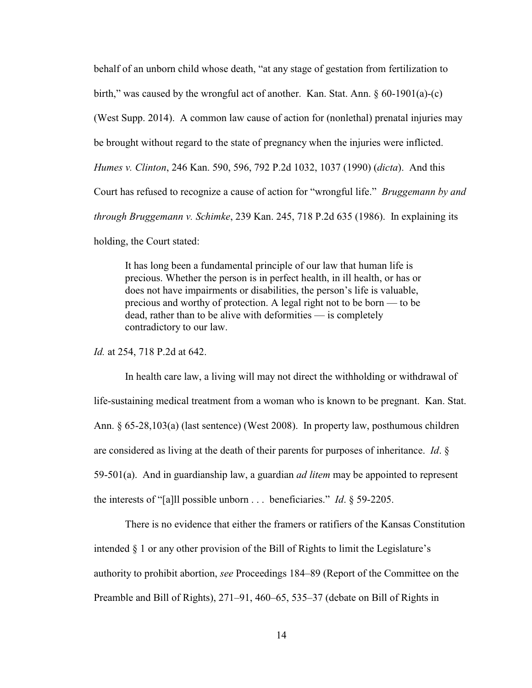behalf of an unborn child whose death, "at any stage of gestation from fertilization to birth," was caused by the wrongful act of another. Kan. Stat. Ann.  $\S 60-1901(a)$ -(c) (West Supp. 2014). A common law cause of action for (nonlethal) prenatal injuries may be brought without regard to the state of pregnancy when the injuries were inflicted. *Humes v. Clinton*, 246 Kan. 590, 596, 792 P.2d 1032, 1037 (1990) (*dicta*). And this Court has refused to recognize a cause of action for "wrongful life." *Bruggemann by and through Bruggemann v. Schimke*, 239 Kan. 245, 718 P.2d 635 (1986). In explaining its holding, the Court stated:

It has long been a fundamental principle of our law that human life is precious. Whether the person is in perfect health, in ill health, or has or does not have impairments or disabilities, the person's life is valuable, precious and worthy of protection. A legal right not to be born — to be dead, rather than to be alive with deformities — is completely contradictory to our law.

*Id.* at 254, 718 P.2d at 642.

In health care law, a living will may not direct the withholding or withdrawal of life-sustaining medical treatment from a woman who is known to be pregnant. Kan. Stat. Ann. § 65-28,103(a) (last sentence) (West 2008). In property law, posthumous children are considered as living at the death of their parents for purposes of inheritance. *Id*. § 59-501(a). And in guardianship law, a guardian *ad litem* may be appointed to represent the interests of "[a]ll possible unborn . . . beneficiaries." *Id*. § 59-2205.

There is no evidence that either the framers or ratifiers of the Kansas Constitution intended § 1 or any other provision of the Bill of Rights to limit the Legislature's authority to prohibit abortion, *see* Proceedings 184–89 (Report of the Committee on the Preamble and Bill of Rights), 271–91, 460–65, 535–37 (debate on Bill of Rights in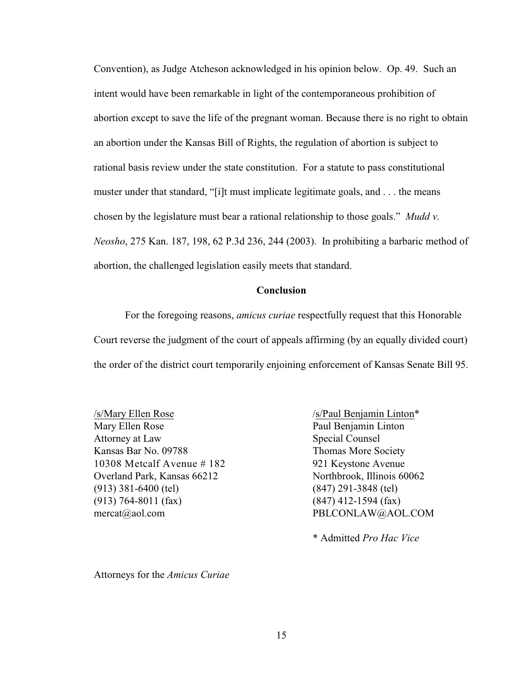Convention), as Judge Atcheson acknowledged in his opinion below. Op. 49. Such an intent would have been remarkable in light of the contemporaneous prohibition of abortion except to save the life of the pregnant woman. Because there is no right to obtain an abortion under the Kansas Bill of Rights, the regulation of abortion is subject to rational basis review under the state constitution. For a statute to pass constitutional muster under that standard, "[i]t must implicate legitimate goals, and . . . the means chosen by the legislature must bear a rational relationship to those goals." *Mudd v. Neosho*, 275 Kan. 187, 198, 62 P.3d 236, 244 (2003). In prohibiting a barbaric method of abortion, the challenged legislation easily meets that standard.

#### **Conclusion**

For the foregoing reasons, *amicus curiae* respectfully request that this Honorable Court reverse the judgment of the court of appeals affirming (by an equally divided court) the order of the district court temporarily enjoining enforcement of Kansas Senate Bill 95.

/s/Mary Ellen Rose /s/Paul Benjamin Linton\* Mary Ellen Rose Paul Benjamin Linton Attorney at Law Special Counsel Kansas Bar No. 09788 Thomas More Society 10308 Metcalf Avenue # 182 921 Keystone Avenue Overland Park, Kansas 66212 Northbrook, Illinois 60062 (913) 381-6400 (tel) (847) 291-3848 (tel) (913) 764-8011 (fax) (847) 412-1594 (fax) mercat@aol.com PBLCONLAW@AOL.COM

\* Admitted *Pro Hac Vice* 

Attorneys for the *Amicus Curiae*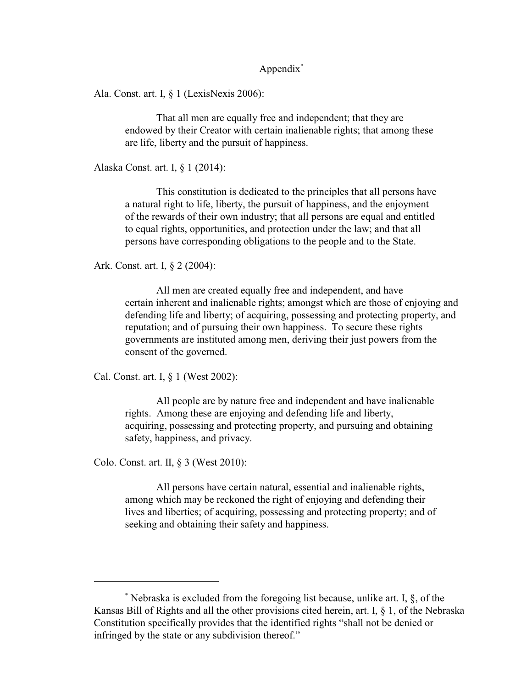Appendix\*

Ala. Const. art. I, § 1 (LexisNexis 2006):

That all men are equally free and independent; that they are endowed by their Creator with certain inalienable rights; that among these are life, liberty and the pursuit of happiness.

Alaska Const. art. I, § 1 (2014):

This constitution is dedicated to the principles that all persons have a natural right to life, liberty, the pursuit of happiness, and the enjoyment of the rewards of their own industry; that all persons are equal and entitled to equal rights, opportunities, and protection under the law; and that all persons have corresponding obligations to the people and to the State.

Ark. Const. art. I, § 2 (2004):

All men are created equally free and independent, and have certain inherent and inalienable rights; amongst which are those of enjoying and defending life and liberty; of acquiring, possessing and protecting property, and reputation; and of pursuing their own happiness. To secure these rights governments are instituted among men, deriving their just powers from the consent of the governed.

Cal. Const. art. I, § 1 (West 2002):

All people are by nature free and independent and have inalienable rights. Among these are enjoying and defending life and liberty, acquiring, possessing and protecting property, and pursuing and obtaining safety, happiness, and privacy.

Colo. Const. art. II, § 3 (West 2010):

All persons have certain natural, essential and inalienable rights, among which may be reckoned the right of enjoying and defending their lives and liberties; of acquiring, possessing and protecting property; and of seeking and obtaining their safety and happiness.

 $*$  Nebraska is excluded from the foregoing list because, unlike art. I,  $\delta$ , of the Kansas Bill of Rights and all the other provisions cited herein, art. I, § 1, of the Nebraska Constitution specifically provides that the identified rights "shall not be denied or infringed by the state or any subdivision thereof."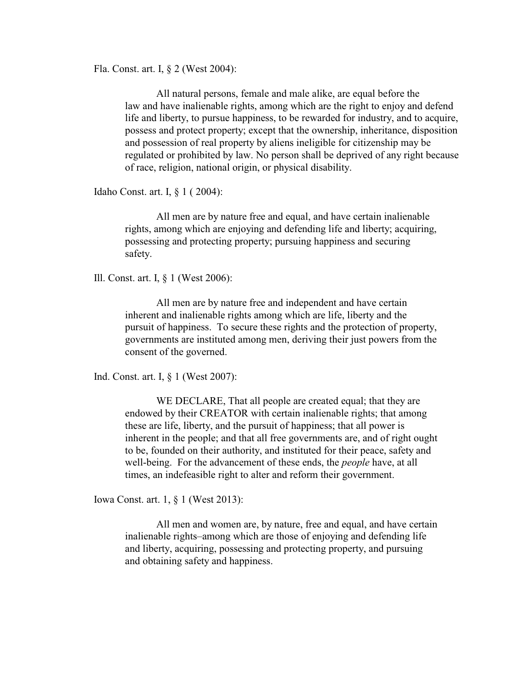Fla. Const. art. I, § 2 (West 2004):

All natural persons, female and male alike, are equal before the law and have inalienable rights, among which are the right to enjoy and defend life and liberty, to pursue happiness, to be rewarded for industry, and to acquire, possess and protect property; except that the ownership, inheritance, disposition and possession of real property by aliens ineligible for citizenship may be regulated or prohibited by law. No person shall be deprived of any right because of race, religion, national origin, or physical disability.

Idaho Const. art. I, § 1 ( 2004):

All men are by nature free and equal, and have certain inalienable rights, among which are enjoying and defending life and liberty; acquiring, possessing and protecting property; pursuing happiness and securing safety.

Ill. Const. art. I, § 1 (West 2006):

All men are by nature free and independent and have certain inherent and inalienable rights among which are life, liberty and the pursuit of happiness. To secure these rights and the protection of property, governments are instituted among men, deriving their just powers from the consent of the governed.

Ind. Const. art. I, § 1 (West 2007):

WE DECLARE, That all people are created equal; that they are endowed by their CREATOR with certain inalienable rights; that among these are life, liberty, and the pursuit of happiness; that all power is inherent in the people; and that all free governments are, and of right ought to be, founded on their authority, and instituted for their peace, safety and well-being. For the advancement of these ends, the *people* have, at all times, an indefeasible right to alter and reform their government.

Iowa Const. art. 1, § 1 (West 2013):

All men and women are, by nature, free and equal, and have certain inalienable rights–among which are those of enjoying and defending life and liberty, acquiring, possessing and protecting property, and pursuing and obtaining safety and happiness.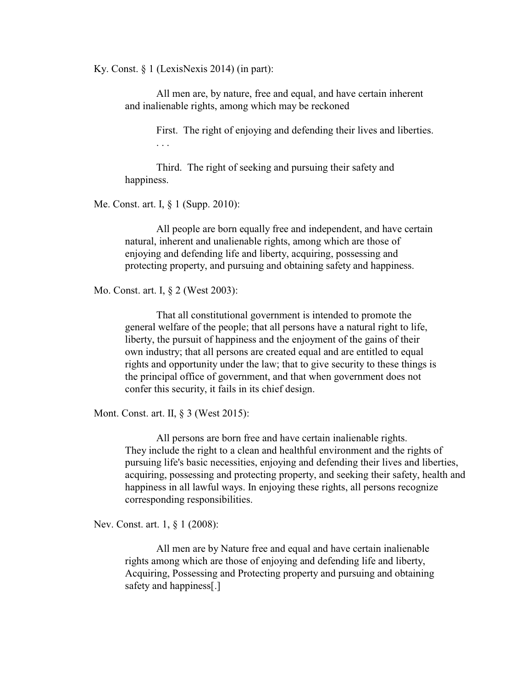Ky. Const. § 1 (LexisNexis 2014) (in part):

All men are, by nature, free and equal, and have certain inherent and inalienable rights, among which may be reckoned

> First. The right of enjoying and defending their lives and liberties. . . .

Third. The right of seeking and pursuing their safety and happiness.

Me. Const. art. I, § 1 (Supp. 2010):

All people are born equally free and independent, and have certain natural, inherent and unalienable rights, among which are those of enjoying and defending life and liberty, acquiring, possessing and protecting property, and pursuing and obtaining safety and happiness.

Mo. Const. art. I, § 2 (West 2003):

That all constitutional government is intended to promote the general welfare of the people; that all persons have a natural right to life, liberty, the pursuit of happiness and the enjoyment of the gains of their own industry; that all persons are created equal and are entitled to equal rights and opportunity under the law; that to give security to these things is the principal office of government, and that when government does not confer this security, it fails in its chief design.

Mont. Const. art. II, § 3 (West 2015):

All persons are born free and have certain inalienable rights. They include the right to a clean and healthful environment and the rights of pursuing life's basic necessities, enjoying and defending their lives and liberties, acquiring, possessing and protecting property, and seeking their safety, health and happiness in all lawful ways. In enjoying these rights, all persons recognize corresponding responsibilities.

Nev. Const. art. 1, § 1 (2008):

All men are by Nature free and equal and have certain inalienable rights among which are those of enjoying and defending life and liberty, Acquiring, Possessing and Protecting property and pursuing and obtaining safety and happiness[.]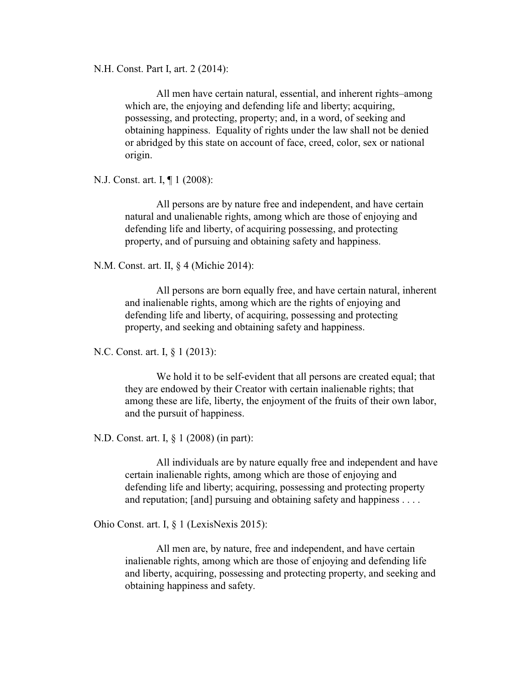N.H. Const. Part I, art. 2 (2014):

All men have certain natural, essential, and inherent rights–among which are, the enjoying and defending life and liberty; acquiring, possessing, and protecting, property; and, in a word, of seeking and obtaining happiness. Equality of rights under the law shall not be denied or abridged by this state on account of face, creed, color, sex or national origin.

N.J. Const. art. I, ¶ 1 (2008):

All persons are by nature free and independent, and have certain natural and unalienable rights, among which are those of enjoying and defending life and liberty, of acquiring possessing, and protecting property, and of pursuing and obtaining safety and happiness.

N.M. Const. art. II, § 4 (Michie 2014):

All persons are born equally free, and have certain natural, inherent and inalienable rights, among which are the rights of enjoying and defending life and liberty, of acquiring, possessing and protecting property, and seeking and obtaining safety and happiness.

N.C. Const. art. I, § 1 (2013):

We hold it to be self-evident that all persons are created equal; that they are endowed by their Creator with certain inalienable rights; that among these are life, liberty, the enjoyment of the fruits of their own labor, and the pursuit of happiness.

N.D. Const. art. I, § 1 (2008) (in part):

All individuals are by nature equally free and independent and have certain inalienable rights, among which are those of enjoying and defending life and liberty; acquiring, possessing and protecting property and reputation; [and] pursuing and obtaining safety and happiness . . . .

Ohio Const. art. I, § 1 (LexisNexis 2015):

All men are, by nature, free and independent, and have certain inalienable rights, among which are those of enjoying and defending life and liberty, acquiring, possessing and protecting property, and seeking and obtaining happiness and safety.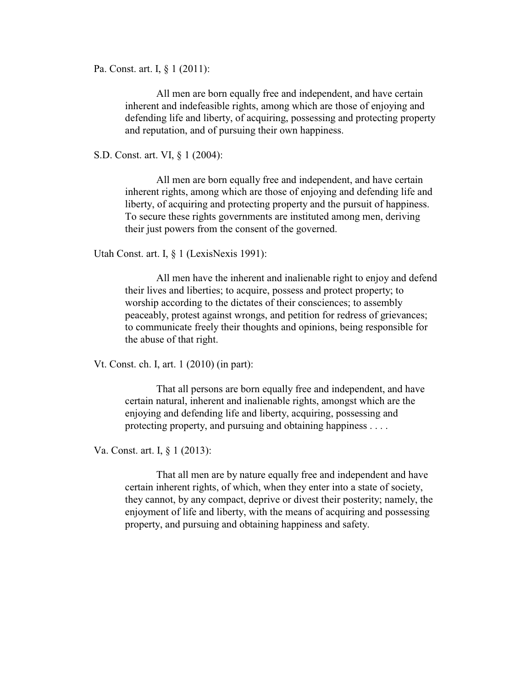Pa. Const. art. I, § 1 (2011):

All men are born equally free and independent, and have certain inherent and indefeasible rights, among which are those of enjoying and defending life and liberty, of acquiring, possessing and protecting property and reputation, and of pursuing their own happiness.

S.D. Const. art. VI, § 1 (2004):

All men are born equally free and independent, and have certain inherent rights, among which are those of enjoying and defending life and liberty, of acquiring and protecting property and the pursuit of happiness. To secure these rights governments are instituted among men, deriving their just powers from the consent of the governed.

Utah Const. art. I, § 1 (LexisNexis 1991):

All men have the inherent and inalienable right to enjoy and defend their lives and liberties; to acquire, possess and protect property; to worship according to the dictates of their consciences; to assembly peaceably, protest against wrongs, and petition for redress of grievances; to communicate freely their thoughts and opinions, being responsible for the abuse of that right.

Vt. Const. ch. I, art. 1 (2010) (in part):

That all persons are born equally free and independent, and have certain natural, inherent and inalienable rights, amongst which are the enjoying and defending life and liberty, acquiring, possessing and protecting property, and pursuing and obtaining happiness . . . .

Va. Const. art. I, § 1 (2013):

That all men are by nature equally free and independent and have certain inherent rights, of which, when they enter into a state of society, they cannot, by any compact, deprive or divest their posterity; namely, the enjoyment of life and liberty, with the means of acquiring and possessing property, and pursuing and obtaining happiness and safety.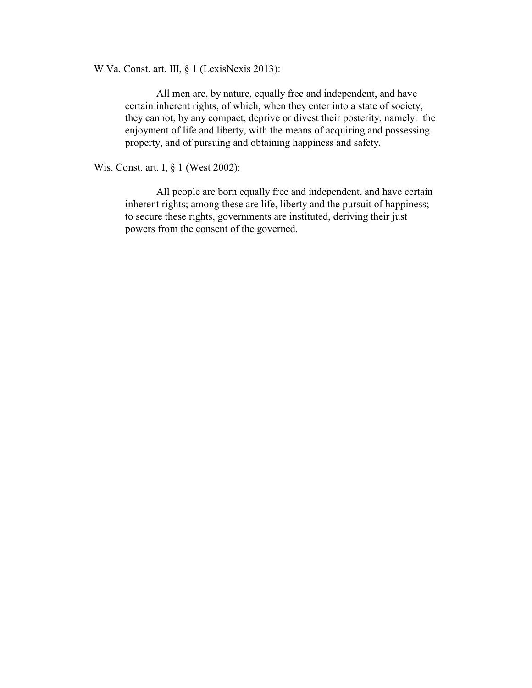W.Va. Const. art. III, § 1 (LexisNexis 2013):

All men are, by nature, equally free and independent, and have certain inherent rights, of which, when they enter into a state of society, they cannot, by any compact, deprive or divest their posterity, namely: the enjoyment of life and liberty, with the means of acquiring and possessing property, and of pursuing and obtaining happiness and safety.

Wis. Const. art. I, § 1 (West 2002):

All people are born equally free and independent, and have certain inherent rights; among these are life, liberty and the pursuit of happiness; to secure these rights, governments are instituted, deriving their just powers from the consent of the governed.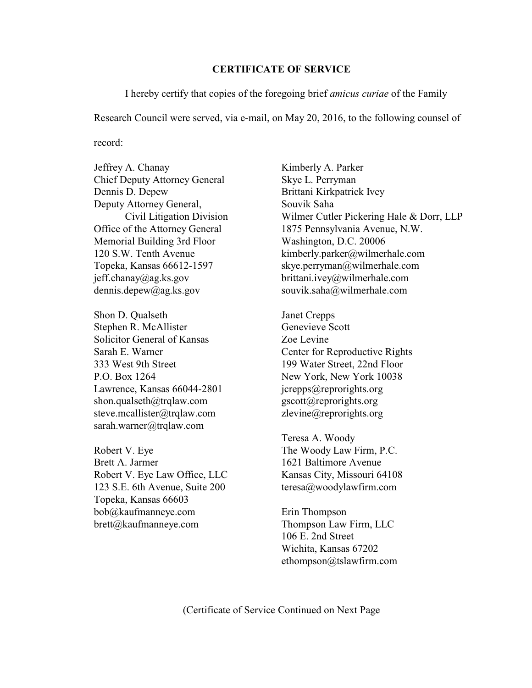### **CERTIFICATE OF SERVICE**

I hereby certify that copies of the foregoing brief *amicus curiae* of the Family

Research Council were served, via e-mail, on May 20, 2016, to the following counsel of

record:

Jeffrey A. Chanay Kimberly A. Parker Chief Deputy Attorney General Skye L. Perryman Dennis D. Depew Brittani Kirkpatrick Ivey Deputy Attorney General, Souvik Saha Memorial Building 3rd Floor Washington, D.C. 20006 jeff.chanay@ag.ks.gov brittani.ivey@wilmerhale.com dennis.depew@ag.ks.gov souvik.saha@wilmerhale.com

Shon D. Qualseth Janet Crepps Stephen R. McAllister Genevieve Scott Solicitor General of Kansas Zoe Levine 333 West 9th Street 199 Water Street, 22nd Floor P.O. Box 1264 New York, New York 10038 Lawrence, Kansas 66044-2801 jcrepps@reprorights.org shon.qualseth@trqlaw.com gscott@reprorights.org steve.mcallister@trqlaw.com zlevine@reprorights.org sarah.warner@trqlaw.com

Robert V. Eye The Woody Law Firm, P.C. Brett A. Jarmer 1621 Baltimore Avenue Robert V. Eye Law Office, LLC Kansas City, Missouri 64108 123 S.E. 6th Avenue, Suite 200 teresa@woodylawfirm.com Topeka, Kansas 66603 bob@kaufmanneye.com Erin Thompson brett@kaufmanneye.com Thompson Law Firm, LLC

Civil Litigation Division Wilmer Cutler Pickering Hale & Dorr, LLP Office of the Attorney General 1875 Pennsylvania Avenue, N.W. 120 S.W. Tenth Avenue kimberly.parker@wilmerhale.com Topeka, Kansas 66612-1597 skye.perryman@wilmerhale.com

Sarah E. Warner Center for Reproductive Rights

Teresa A. Woody

106 E. 2nd Street Wichita, Kansas 67202 ethompson@tslawfirm.com

(Certificate of Service Continued on Next Page